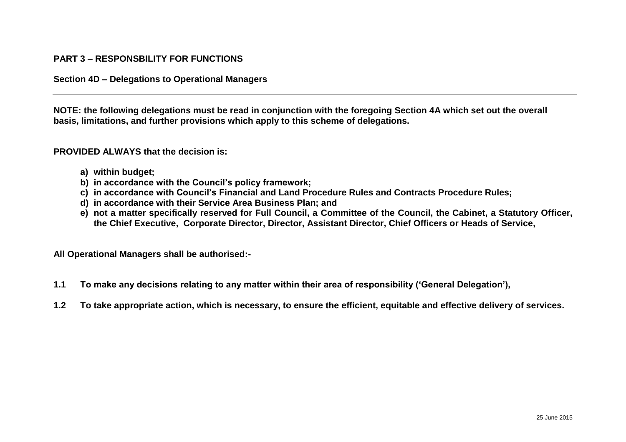## **PART 3 – RESPONSBILITY FOR FUNCTIONS**

## **Section 4D – Delegations to Operational Managers**

**NOTE: the following delegations must be read in conjunction with the foregoing Section 4A which set out the overall basis, limitations, and further provisions which apply to this scheme of delegations.**

## **PROVIDED ALWAYS that the decision is:**

- **a) within budget;**
- **b) in accordance with the Council's policy framework;**
- **c) in accordance with Council's Financial and Land Procedure Rules and Contracts Procedure Rules;**
- **d) in accordance with their Service Area Business Plan; and**
- **e) not a matter specifically reserved for Full Council, a Committee of the Council, the Cabinet, a Statutory Officer, the Chief Executive, Corporate Director, Director, Assistant Director, Chief Officers or Heads of Service,**

**All Operational Managers shall be authorised:-**

- **1.1 To make any decisions relating to any matter within their area of responsibility ('General Delegation'),**
- **1.2 To take appropriate action, which is necessary, to ensure the efficient, equitable and effective delivery of services.**